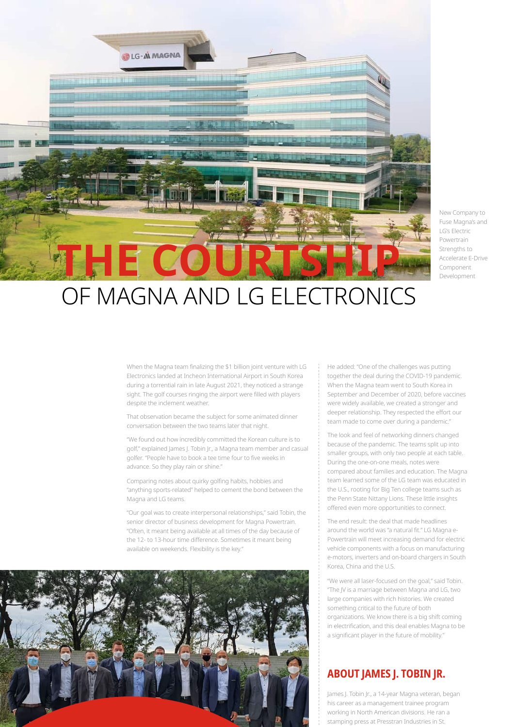

New Company to Fuse Magna's and I G's Flectric Powertrain Strengths to Accelerate E-Drive Component Development

## OF MAGNA AND LG ELECTRONICS

When the Magna team finalizing the \$1 billion joint venture with LG Electronics landed at Incheon International Airport in South Korea during a torrential rain in late August 2021, they noticed a strange sight. The golf courses ringing the airport were filled with players despite the inclement weather.

That observation became the subject for some animated dinner conversation between the two teams later that night.

"We found out how incredibly committed the Korean culture is to golf," explained James J. Tobin Jr., a Magna team member and casual golfer. "People have to book a tee time four to five weeks in advance. So they play rain or shine."

Comparing notes about quirky golfing habits, hobbies and "anything sports-related" helped to cement the bond between the Magna and LG teams.

"Our goal was to create interpersonal relationships," said Tobin, the senior director of business development for Magna Powertrain. "Often, it meant being available at all times of the day because of the 12- to 13-hour time difference. Sometimes it meant being available on weekends. Flexibility is the key."



He added: "One of the challenges was putting together the deal during the COVID-19 pandemic. When the Magna team went to South Korea in September and December of 2020, before vaccines were widely available, we created a stronger and deeper relationship. They respected the effort our team made to come over during a pandemic."

The look and feel of networking dinners changed because of the pandemic. The teams split up into smaller groups, with only two people at each table. During the one-on-one meals, notes were compared about families and education. The Magna team learned some of the LG team was educated in the U.S., rooting for Big Ten college teams such as the Penn State Nittany Lions. These little insights offered even more opportunities to connect.

The end result: the deal that made headlines around the world was "a natural fit." LG Magna e-Powertrain will meet increasing demand for electric vehicle components with a focus on manufacturing e-motors, inverters and on-board chargers in South Korea, China and the U.S.

"We were all laser-focused on the goal," said Tobin. "The JV is a marriage between Magna and LG, two large companies with rich histories. We created something critical to the future of both organizations. We know there is a big shift coming in electrification, and this deal enables Magna to be a significant player in the future of mobility."

## **ABOUT JAMES J. TOBIN JR.**

James J. Tobin Jr., a 14-year Magna veteran, began his career as a management trainee program working in North American divisions. He ran a stamping press at Presstran Industries in St.